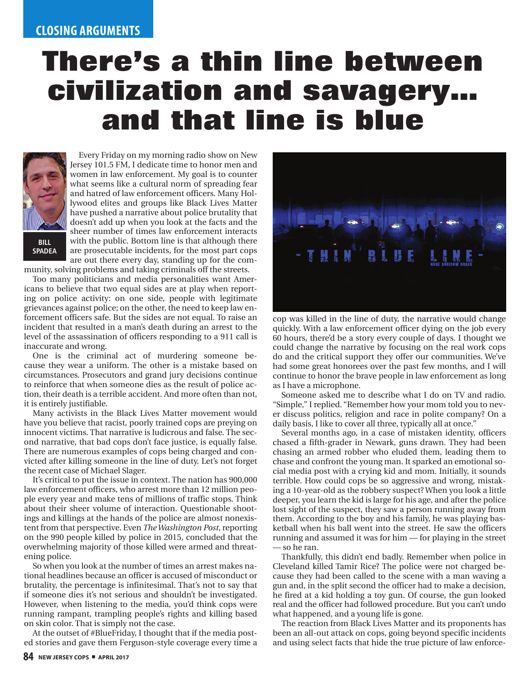## **There's a thin line between civilization and savagery… and that line is blue**



Every Friday on my morning radio show on New Jersey 101.5 FM, I dedicate time to honor men and women in law enforcement. My goal is to counter what seems like a cultural norm of spreading fear and hatred of law enforcement officers. Many Hollywood elites and groups like Black Lives Matter have pushed a narrative about police brutality that doesn't add up when you look at the facts and the sheer number of times law enforcement interacts with the public. Bottom line is that although there are prosecutable incidents, for the most part cops are out there every day, standing up for the com-

munity, solving problems and taking criminals off the streets.

Too many politicians and media personalities want Americans to believe that two equal sides are at play when reporting on police activity: on one side, people with legitimate grievances against police; on the other, the need to keep law enforcement officers safe. But the sides are not equal. To raise an incident that resulted in a man's death during an arrest to the level of the assassination of officers responding to a 911 call is inaccurate and wrong.

One is the criminal act of murdering someone because they wear a uniform. The other is a mistake based on circumstances. Prosecutors and grand jury decisions continue to reinforce that when someone dies as the result of police action, their death is a terrible accident. And more often than not, it is entirely justifiable.

Many activists in the Black Lives Matter movement would have you believe that racist, poorly trained cops are preying on innocent victims. That narrative is ludicrous and false. The second narrative, that bad cops don't face justice, is equally false. There are numerous examples of cops being charged and convicted after killing someone in the line of duty. Let's not forget the recent case of Michael Slager.

It's critical to put the issue in context. The nation has 900,000 law enforcement officers, who arrest more than 12 million people every year and make tens of millions of traffic stops. Think about their sheer volume of interaction. Questionable shootings and killings at the hands of the police are almost nonexistent from that perspective. Even *The Washington Post*, reporting on the 990 people killed by police in 2015, concluded that the overwhelming majority of those killed were armed and threatening police.

So when you look at the number of times an arrest makes national headlines because an officer is accused of misconduct or brutality, the percentage is infinitesimal. That's not to say that if someone dies it's not serious and shouldn't be investigated. However, when listening to the media, you'd think cops were running rampant, trampling people's rights and killing based on skin color. That is simply not the case.

At the outset of #BlueFriday, I thought that if the media posted stories and gave them Ferguson-style coverage every time a



cop was killed in the line of duty, the narrative would change quickly. With a law enforcement officer dying on the job every 60 hours, there'd be a story every couple of days. I thought we could change the narrative by focusing on the real work cops do and the critical support they offer our communities. We've had some great honorees over the past few months, and I will continue to honor the brave people in law enforcement as long as I have a microphone.

Someone asked me to describe what I do on TV and radio. "Simple," I replied. "Remember how your mom told you to never discuss politics, religion and race in polite company? On a daily basis, I like to cover all three, typically all at once."

Several months ago, in a case of mistaken identity, officers chased a fifth-grader in Newark, guns drawn. They had been chasing an armed robber who eluded them, leading them to chase and confront the young man. It sparked an emotional social media post with a crying kid and mom. Initially, it sounds terrible. How could cops be so aggressive and wrong, mistaking a 10-year-old as the robbery suspect? When you look a little deeper, you learn the kid is large for his age, and after the police lost sight of the suspect, they saw a person running away from them. According to the boy and his family, he was playing basketball when his ball went into the street. He saw the officers running and assumed it was for him — for playing in the street — so he ran.

Thankfully, this didn't end badly. Remember when police in Cleveland killed Tamir Rice? The police were not charged because they had been called to the scene with a man waving a gun and, in the split second the officer had to make a decision, he fired at a kid holding a toy gun. Of course, the gun looked real and the officer had followed procedure. But you can't undo what happened, and a young life is gone.

The reaction from Black Lives Matter and its proponents has been an all-out attack on cops, going beyond specific incidents and using select facts that hide the true picture of law enforce